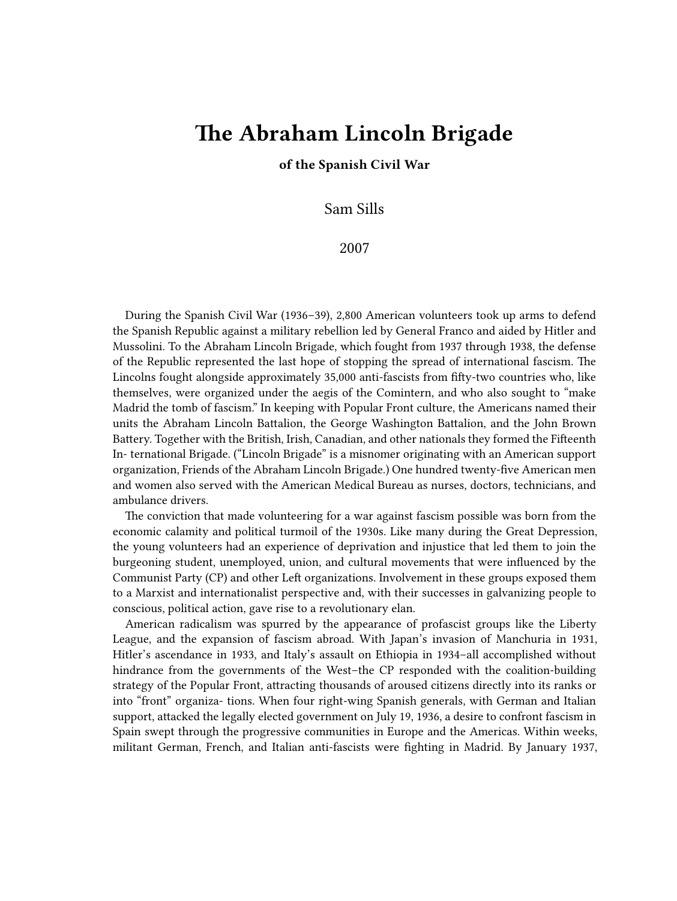## **The Abraham Lincoln Brigade**

**of the Spanish Civil War**

Sam Sills

2007

During the Spanish Civil War (1936–39), 2,800 American volunteers took up arms to defend the Spanish Republic against a military rebellion led by General Franco and aided by Hitler and Mussolini. To the Abraham Lincoln Brigade, which fought from 1937 through 1938, the defense of the Republic represented the last hope of stopping the spread of international fascism. The Lincolns fought alongside approximately 35,000 anti-fascists from fifty-two countries who, like themselves, were organized under the aegis of the Comintern, and who also sought to "make Madrid the tomb of fascism." In keeping with Popular Front culture, the Americans named their units the Abraham Lincoln Battalion, the George Washington Battalion, and the John Brown Battery. Together with the British, Irish, Canadian, and other nationals they formed the Fifteenth In- ternational Brigade. ("Lincoln Brigade" is a misnomer originating with an American support organization, Friends of the Abraham Lincoln Brigade.) One hundred twenty-five American men and women also served with the American Medical Bureau as nurses, doctors, technicians, and ambulance drivers.

The conviction that made volunteering for a war against fascism possible was born from the economic calamity and political turmoil of the 1930s. Like many during the Great Depression, the young volunteers had an experience of deprivation and injustice that led them to join the burgeoning student, unemployed, union, and cultural movements that were influenced by the Communist Party (CP) and other Left organizations. Involvement in these groups exposed them to a Marxist and internationalist perspective and, with their successes in galvanizing people to conscious, political action, gave rise to a revolutionary elan.

American radicalism was spurred by the appearance of profascist groups like the Liberty League, and the expansion of fascism abroad. With Japan's invasion of Manchuria in 1931, Hitler's ascendance in 1933, and Italy's assault on Ethiopia in 1934–all accomplished without hindrance from the governments of the West–the CP responded with the coalition-building strategy of the Popular Front, attracting thousands of aroused citizens directly into its ranks or into "front" organiza- tions. When four right-wing Spanish generals, with German and Italian support, attacked the legally elected government on July 19, 1936, a desire to confront fascism in Spain swept through the progressive communities in Europe and the Americas. Within weeks, militant German, French, and Italian anti-fascists were fighting in Madrid. By January 1937,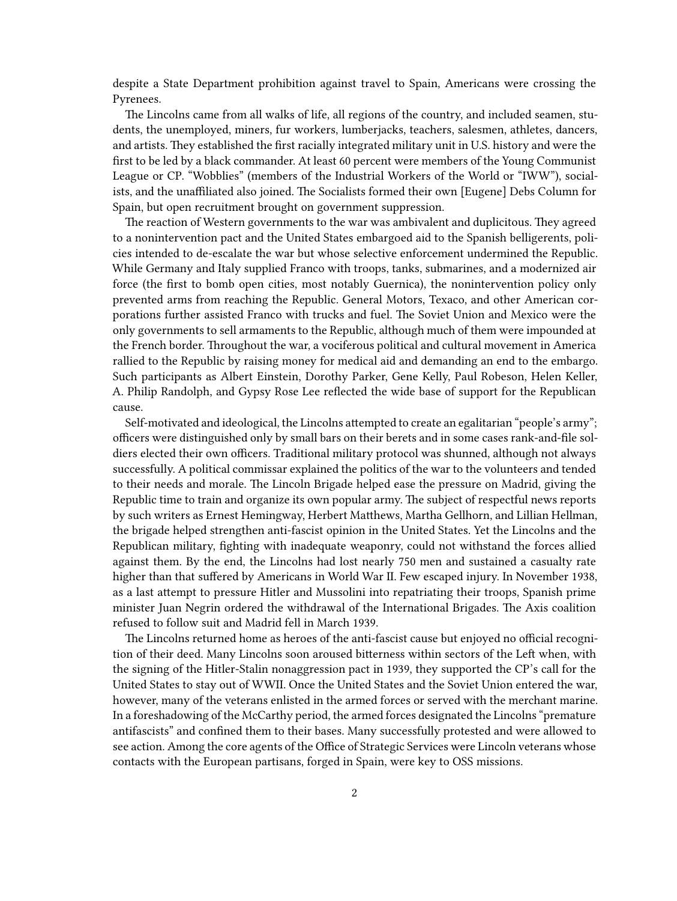despite a State Department prohibition against travel to Spain, Americans were crossing the Pyrenees.

The Lincolns came from all walks of life, all regions of the country, and included seamen, students, the unemployed, miners, fur workers, lumberjacks, teachers, salesmen, athletes, dancers, and artists. They established the first racially integrated military unit in U.S. history and were the first to be led by a black commander. At least 60 percent were members of the Young Communist League or CP. "Wobblies" (members of the Industrial Workers of the World or "IWW"), socialists, and the unaffiliated also joined. The Socialists formed their own [Eugene] Debs Column for Spain, but open recruitment brought on government suppression.

The reaction of Western governments to the war was ambivalent and duplicitous. They agreed to a nonintervention pact and the United States embargoed aid to the Spanish belligerents, policies intended to de-escalate the war but whose selective enforcement undermined the Republic. While Germany and Italy supplied Franco with troops, tanks, submarines, and a modernized air force (the first to bomb open cities, most notably Guernica), the nonintervention policy only prevented arms from reaching the Republic. General Motors, Texaco, and other American corporations further assisted Franco with trucks and fuel. The Soviet Union and Mexico were the only governments to sell armaments to the Republic, although much of them were impounded at the French border. Throughout the war, a vociferous political and cultural movement in America rallied to the Republic by raising money for medical aid and demanding an end to the embargo. Such participants as Albert Einstein, Dorothy Parker, Gene Kelly, Paul Robeson, Helen Keller, A. Philip Randolph, and Gypsy Rose Lee reflected the wide base of support for the Republican cause.

Self-motivated and ideological, the Lincolns attempted to create an egalitarian "people's army"; officers were distinguished only by small bars on their berets and in some cases rank-and-file soldiers elected their own officers. Traditional military protocol was shunned, although not always successfully. A political commissar explained the politics of the war to the volunteers and tended to their needs and morale. The Lincoln Brigade helped ease the pressure on Madrid, giving the Republic time to train and organize its own popular army. The subject of respectful news reports by such writers as Ernest Hemingway, Herbert Matthews, Martha Gellhorn, and Lillian Hellman, the brigade helped strengthen anti-fascist opinion in the United States. Yet the Lincolns and the Republican military, fighting with inadequate weaponry, could not withstand the forces allied against them. By the end, the Lincolns had lost nearly 750 men and sustained a casualty rate higher than that suffered by Americans in World War II. Few escaped injury. In November 1938, as a last attempt to pressure Hitler and Mussolini into repatriating their troops, Spanish prime minister Juan Negrin ordered the withdrawal of the International Brigades. The Axis coalition refused to follow suit and Madrid fell in March 1939.

The Lincolns returned home as heroes of the anti-fascist cause but enjoyed no official recognition of their deed. Many Lincolns soon aroused bitterness within sectors of the Left when, with the signing of the Hitler-Stalin nonaggression pact in 1939, they supported the CP's call for the United States to stay out of WWII. Once the United States and the Soviet Union entered the war, however, many of the veterans enlisted in the armed forces or served with the merchant marine. In a foreshadowing of the McCarthy period, the armed forces designated the Lincolns "premature antifascists" and confined them to their bases. Many successfully protested and were allowed to see action. Among the core agents of the Office of Strategic Services were Lincoln veterans whose contacts with the European partisans, forged in Spain, were key to OSS missions.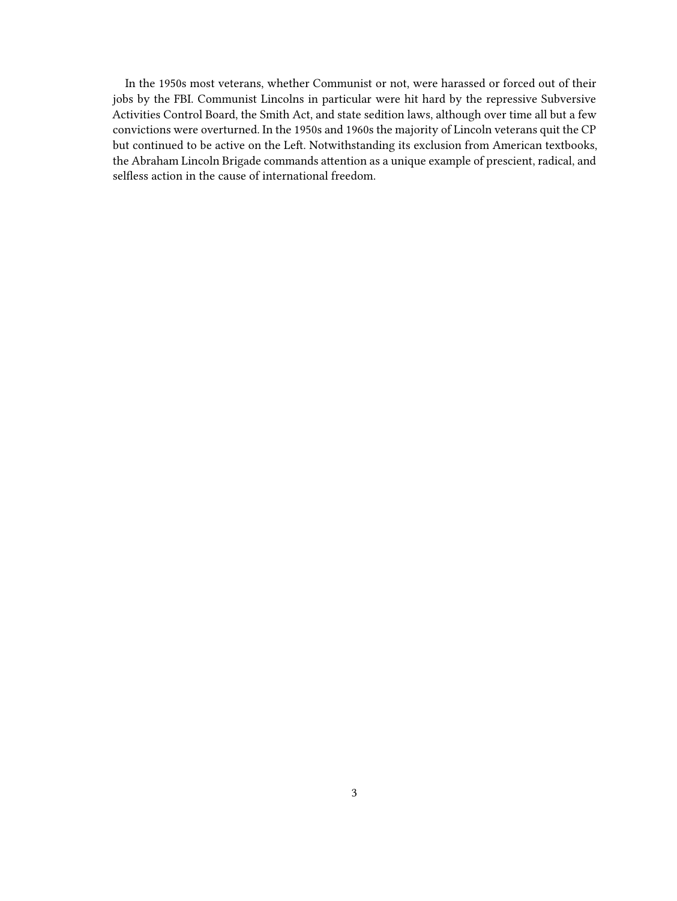In the 1950s most veterans, whether Communist or not, were harassed or forced out of their jobs by the FBI. Communist Lincolns in particular were hit hard by the repressive Subversive Activities Control Board, the Smith Act, and state sedition laws, although over time all but a few convictions were overturned. In the 1950s and 1960s the majority of Lincoln veterans quit the CP but continued to be active on the Left. Notwithstanding its exclusion from American textbooks, the Abraham Lincoln Brigade commands attention as a unique example of prescient, radical, and selfless action in the cause of international freedom.